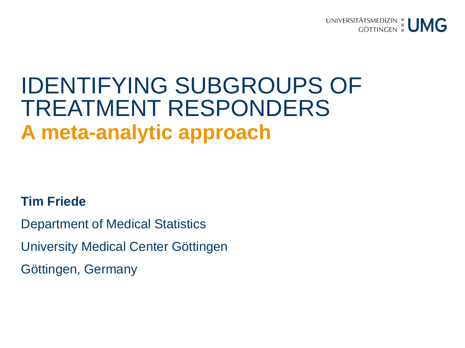

# IDENTIFYING SUBGROUPS OF TREATMENT RESPONDERS **A meta-analytic approach**

#### **Tim Friede**

Department of Medical Statistics University Medical Center Göttingen Göttingen, Germany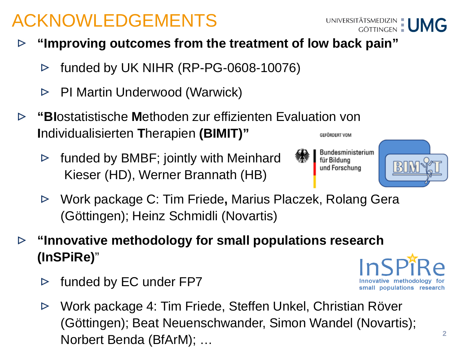## ACKNOWLEDGEMENTS

- **"Improving outcomes from the treatment of low back pain"**  $\triangleright$ 
	- funded by UK NIHR (RP-PG-0608-10076)  $\triangleright$
	- PI Martin Underwood (Warwick)  $\triangleright$
- **"BI**ostatistische **M**ethoden zur effizienten Evaluation von  $\triangleright$ **I**ndividualisierten **T**herapien **(BIMIT)"**  GEFÖRDERT VOM
	- funded by BMBF; jointly with Meinhard  $\triangleright$ Kieser (HD), Werner Brannath (HB)
	- Work package C: Tim Friede**,** Marius Placzek, Rolang Gera  $\triangleright$ (Göttingen); Heinz Schmidli (Novartis)
- **"Innovative methodology for small populations research**   $\triangleright$ **(InSPiRe)**"
	- funded by EC under FP7  $\triangleright$
	- Work package 4: Tim Friede, Steffen Unkel, Christian Röver  $\triangleright$ (Göttingen); Beat Neuenschwander, Simon Wandel (Novartis); Norbert Benda (BfArM); …

**2**







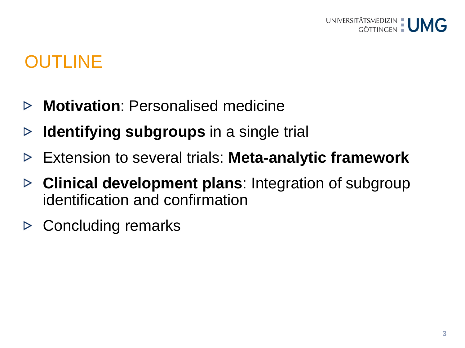## OUTLINE

- **Motivation**: Personalised medicine  $\triangleright$
- **Identifying subgroups** in a single trial ▷
- Extension to several trials: **Meta-analytic framework**  $\triangleright$
- **Clinical development plans**: Integration of subgroup  $\triangleright$ identification and confirmation
- $\triangleright$  Concluding remarks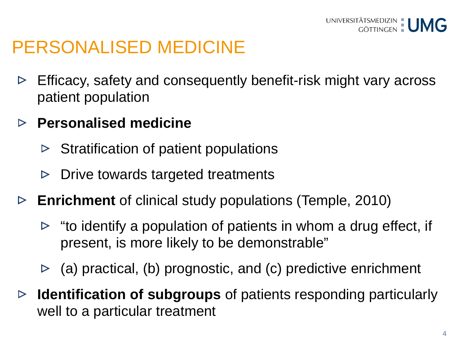## PERSONALISED MEDICINE

- Efficacy, safety and consequently benefit-risk might vary across  $\triangleright$ patient population
- **Personalised medicine**  $\triangleright$ 
	- Stratification of patient populations  $\triangleright$
	- Drive towards targeted treatments  $\triangleright$
- **Enrichment** of clinical study populations (Temple, 2010)
	- $\triangleright$  "to identify a population of patients in whom a drug effect, if present, is more likely to be demonstrable"
	- $\triangleright$  (a) practical, (b) prognostic, and (c) predictive enrichment
- **Identification of subgroups** of patients responding particularly  $\triangleright$ well to a particular treatment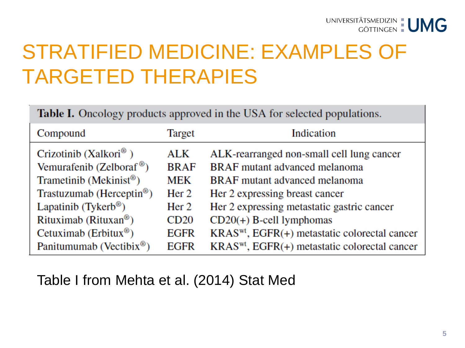# STRATIFIED MEDICINE: EXAMPLES OF TARGETED THERAPIES

Table I. Oncology products approved in the USA for selected populations.

| Compound                              | Target           | Indication                                                |
|---------------------------------------|------------------|-----------------------------------------------------------|
| Crizotinib (Xalkori <sup>®</sup> )    | ALK              | ALK-rearranged non-small cell lung cancer                 |
| Vemurafenib (Zelboraf <sup>®</sup> )  | <b>BRAF</b>      | <b>BRAF</b> mutant advanced melanoma                      |
| Trametinib (Mekinist <sup>®</sup> )   | MEK              | <b>BRAF</b> mutant advanced melanoma                      |
| Trastuzumab (Herceptin <sup>®</sup> ) | Her <sub>2</sub> | Her 2 expressing breast cancer                            |
| Lapatinib (Tykerb <sup>®</sup> )      | Her $2$          | Her 2 expressing metastatic gastric cancer                |
| Rituximab (Rituxan <sup>®</sup> )     | CD20             | $CD20(+)$ B-cell lymphomas                                |
| Cetuximab (Erbitux <sup>®</sup> )     | <b>EGFR</b>      | KRAS <sup>wt</sup> , EGFR(+) metastatic colorectal cancer |
| Panitumumab (Vectibix <sup>®</sup> )  | <b>EGFR</b>      | $KRASwt$ , EGFR $(+)$ metastatic colorectal cancer        |

#### Table I from Mehta et al. (2014) Stat Med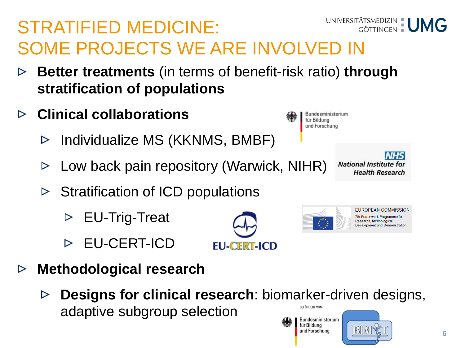#### UNIVERSITÄTSMEDIZIN | UMG STRATIFIED MEDICINE: SOME PROJECTS WE ARE INVOLVED IN

- **Better treatments** (in terms of benefit-risk ratio) **through**   $\triangleright$ **stratification of populations**
- **Clinical collaborations**  $\triangleright$ 
	- Individualize MS (KKNMS, BMBF)  $\triangleright$
	- Low back pain repository (Warwick, NIHR)  $\triangleright$
	- $\triangleright$  Stratification of ICD populations
		- EU-Trig-Treat  $\triangleright$
		- EU-CERT-ICD
- **Methodological research**  $\triangleright$ 
	- **Designs for clinical research**: biomarker-driven designs,  $\triangleright$ adaptive subgroup selection GEFÖRDERT VOM Bundesministerium

**EU-CERT-ICD** 

**NHS National Institute for Health Research** 

> **EUROPEAN COMMISSION** 7th Framework Programme for Research, technological **Development and Demonstration**





für Bildung und Forschung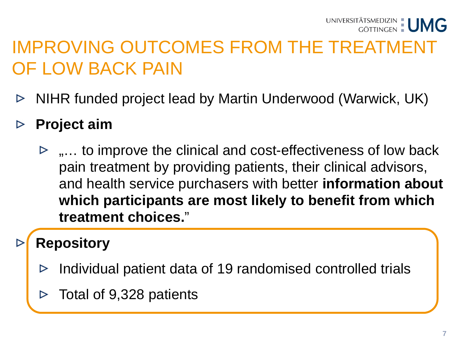#### IMPROVING OUTCOMES FROM THE TREATMENT OF LOW BACK PAIN

- NIHR funded project lead by Martin Underwood (Warwick, UK)  $\triangleright$
- **Project aim**  $\triangleright$ 
	- $\triangleright$  ,... to improve the clinical and cost-effectiveness of low back pain treatment by providing patients, their clinical advisors, and health service purchasers with better **information about which participants are most likely to benefit from which treatment choices.**"

#### **Repository**

- Individual patient data of 19 randomised controlled trials
- Total of 9,328 patients ⊳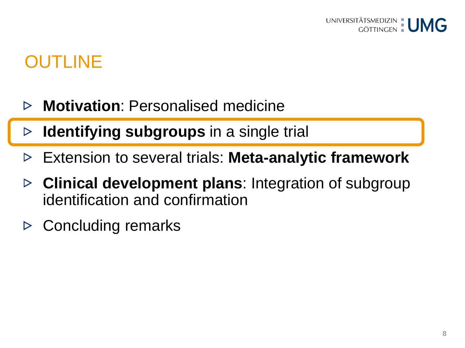## OUTLINE

- **Motivation**: Personalised medicine ▷
- **Identifying subgroups** in a single trial ▷
- Extension to several trials: **Meta-analytic framework**  $\triangleright$
- **Clinical development plans**: Integration of subgroup  $\triangleright$ identification and confirmation
- Concluding remarks ▷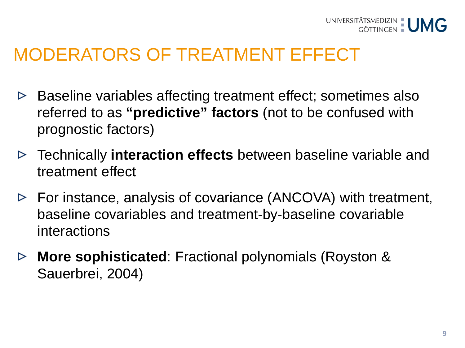

#### MODERATORS OF TREATMENT EFFECT

- Baseline variables affecting treatment effect; sometimes also  $\triangleright$ referred to as **"predictive" factors** (not to be confused with prognostic factors)
- Technically **interaction effects** between baseline variable and treatment effect
- $\triangleright$  For instance, analysis of covariance (ANCOVA) with treatment, baseline covariables and treatment-by-baseline covariable interactions
- **More sophisticated**: Fractional polynomials (Royston &  $\triangleright$ Sauerbrei, 2004)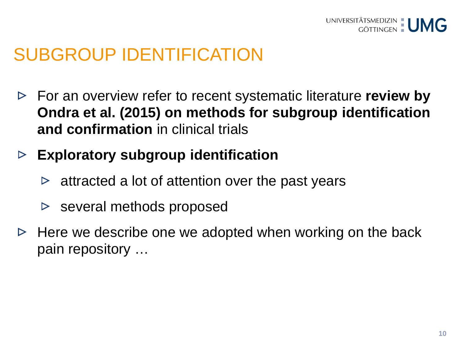

#### SUBGROUP IDENTIFICATION

- For an overview refer to recent systematic literature **review by**   $\triangleright$ **Ondra et al. (2015) on methods for subgroup identification and confirmation** in clinical trials
- **Exploratory subgroup identification**   $\triangleright$ 
	- $\triangleright$  attracted a lot of attention over the past years
	- $\triangleright$  several methods proposed
- $\triangleright$  Here we describe one we adopted when working on the back pain repository …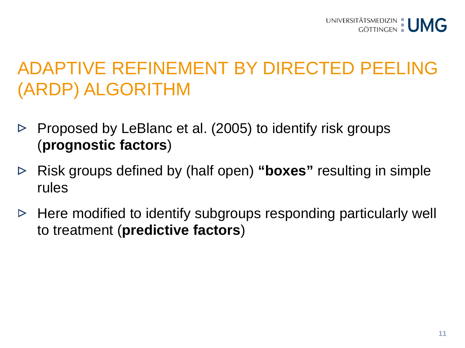## ADAPTIVE REFINEMENT BY DIRECTED PEELING (ARDP) ALGORITHM

- Proposed by LeBlanc et al. (2005) to identify risk groups  $\triangleright$ (**prognostic factors**)
- Risk groups defined by (half open) **"boxes"** resulting in simple  $\triangleright$ rules
- Here modified to identify subgroups responding particularly well  $\triangleright$ to treatment (**predictive factors**)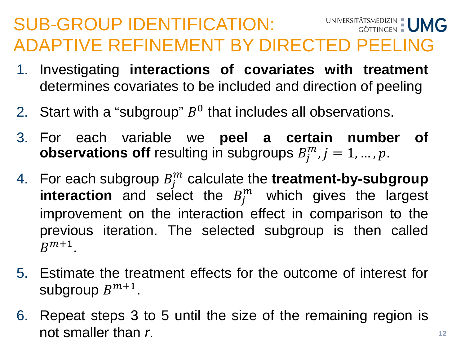#### SUB-GROUP IDENTIFICATION: UNIVERSITÄTSMEDIZIN | UMG ADAPTIVE REFINEMENT BY DIRECTED PEELING

- 1. Investigating **interactions of covariates with treatment** determines covariates to be included and direction of peeling
- 2. Start with a "subgroup"  $B<sup>0</sup>$  that includes all observations.
- 3. For each variable we **peel a certain number of observations off** resulting in subgroups  $B_j^m$ ,  $j = 1, ..., p$ .
- 4. For each subgroup  $B_j^m$  calculate the **treatment-by-subgroup interaction** and select the  $B_j^m$  which gives the largest improvement on the interaction effect in comparison to the previous iteration. The selected subgroup is then called  $R^{m+1}$ .
- 5. Estimate the treatment effects for the outcome of interest for subgroup  $B^{m+1}$ .
- 6. Repeat steps 3 to 5 until the size of the remaining region is not smaller than *r*.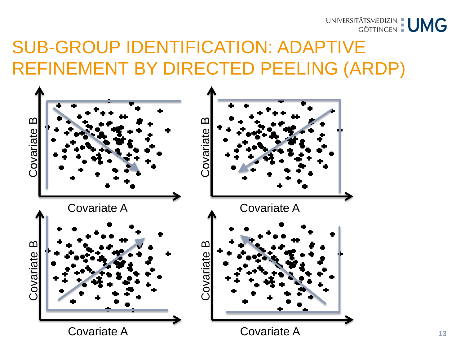

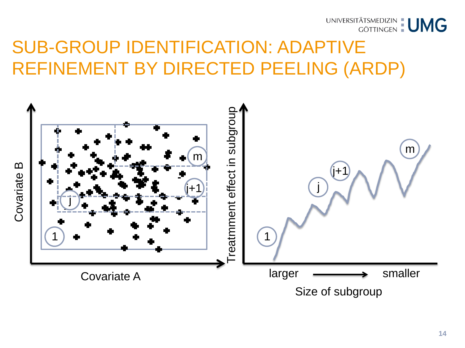



**14**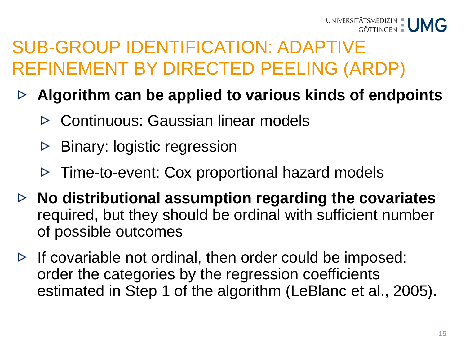- **Algorithm can be applied to various kinds of endpoints**  $\triangleright$ 
	- Continuous: Gaussian linear models
	- Binary: logistic regression  $\triangleright$
	- $\triangleright$  Time-to-event: Cox proportional hazard models
- **No distributional assumption regarding the covariates**  required, but they should be ordinal with sufficient number of possible outcomes
- $\triangleright$  If covariable not ordinal, then order could be imposed: order the categories by the regression coefficients estimated in Step 1 of the algorithm (LeBlanc et al., 2005).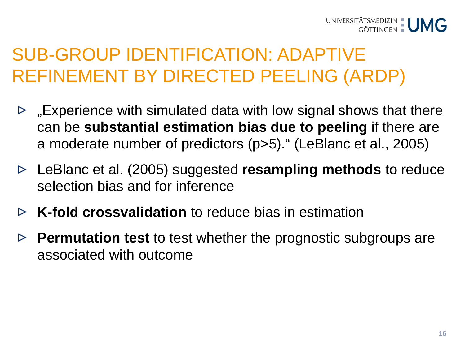- $\triangleright$  "Experience with simulated data with low signal shows that there can be **substantial estimation bias due to peeling** if there are a moderate number of predictors (p>5)." (LeBlanc et al., 2005)
- LeBlanc et al. (2005) suggested **resampling methods** to reduce  $\triangleright$ selection bias and for inference
- **K-fold crossvalidation** to reduce bias in estimation  $\triangleright$
- **Permutation test** to test whether the prognostic subgroups are associated with outcome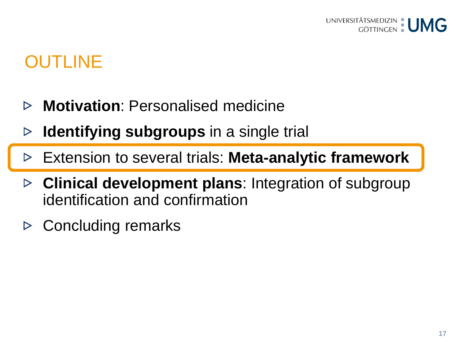## OUTLINE

- **Motivation**: Personalised medicine  $\triangleright$
- **Identifying subgroups** in a single trial ▷
- Extension to several trials: **Meta-analytic framework**  $\triangleright$
- **Clinical development plans**: Integration of subgroup  $\triangleright$ identification and confirmation
- Concluding remarks ▷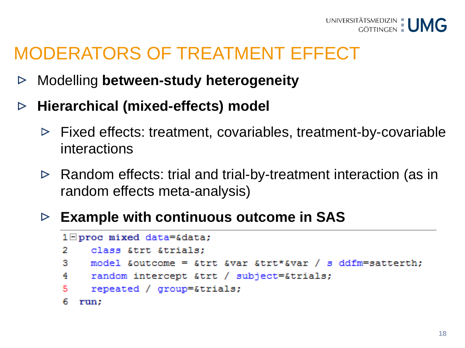

#### MODERATORS OF TREATMENT EFFECT

- Modelling **between-study heterogeneity**  $\triangleright$
- **Hierarchical (mixed-effects) model**   $\triangleright$ 
	- $\triangleright$  Fixed effects: treatment, covariables, treatment-by-covariable interactions
	- $\triangleright$  Random effects: trial and trial-by-treatment interaction (as in random effects meta-analysis)
	- **Example with continuous outcome in SAS**

```
1 \Boxproc mixed data=&data;
2.
     class &trt &trials:
    model &outcome = &trt &var &trt*&var / s ddfm=satterth;
31
4
     random intercept &trt / subject=&trials;
5
     repeated / group=&trials;
6
  run:
```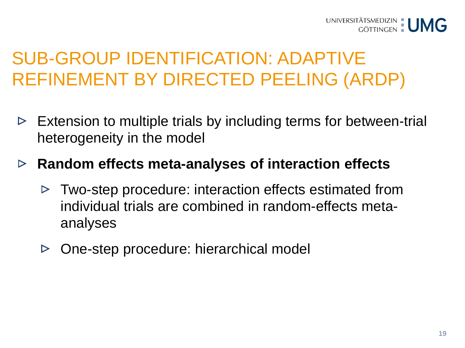- Extension to multiple trials by including terms for between-trial  $\triangleright$ heterogeneity in the model
- **Random effects meta-analyses of interaction effects** 
	- $\triangleright$  Two-step procedure: interaction effects estimated from individual trials are combined in random-effects metaanalyses
	- One-step procedure: hierarchical model  $\triangleright$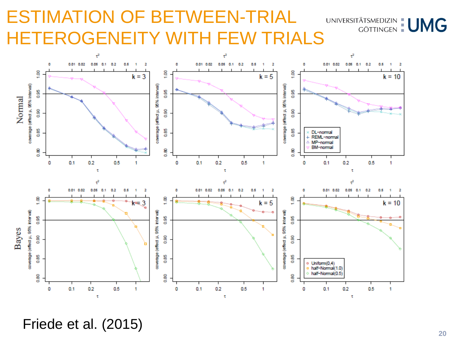#### ESTIMATION OF BETWEEN-TRIAL ESTIMATION OF BETWEEN-TRIAL UNIVERSITÄTSMEDIZIN : UMG<br>HETEROGENEITY WITH FEW TRIALS



Friede et al. (2015)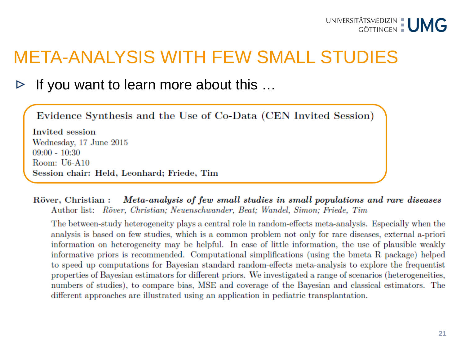#### META-ANALYSIS WITH FEW SMALL STUDIES

#### If you want to learn more about this … ▷

Evidence Synthesis and the Use of Co-Data (CEN Invited Session)

**Invited** session Wednesday, 17 June 2015  $09:00 - 10:30$ Room:  $U6-A10$ Session chair: Held, Leonhard; Friede, Tim

Meta-analysis of few small studies in small populations and rare diseases Röver, Christian : Author list: Röver, Christian: Neuenschwander, Beat: Wandel, Simon: Friede, Tim

The between-study heterogeneity plays a central role in random-effects meta-analysis. Especially when the analysis is based on few studies, which is a common problem not only for rare diseases, external a-priori information on heterogeneity may be helpful. In case of little information, the use of plausible weakly informative priors is recommended. Computational simplifications (using the bmeta R package) helped to speed up computations for Bayesian standard random-effects meta-analysis to explore the frequentist properties of Bayesian estimators for different priors. We investigated a range of scenarios (heterogeneities, numbers of studies), to compare bias, MSE and coverage of the Bayesian and classical estimators. The different approaches are illustrated using an application in pediatric transplantation.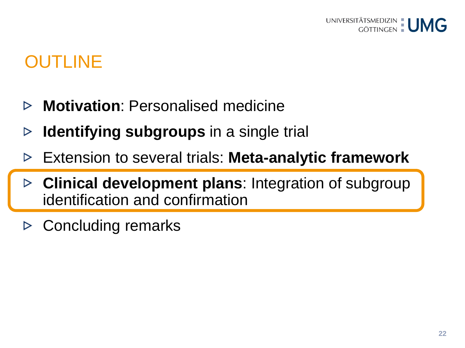## OUTLINE

- **Motivation**: Personalised medicine ▷
- **Identifying subgroups** in a single trial ▷
- Extension to several trials: **Meta-analytic framework**  $\triangleright$
- **Clinical development plans**: Integration of subgroup identification and confirmation
- $\triangleright$  Concluding remarks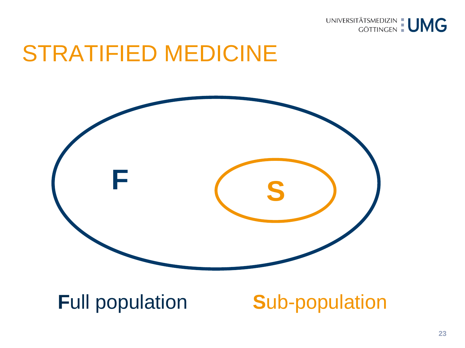

# STRATIFIED MEDICINE



#### **Full population Sub-population**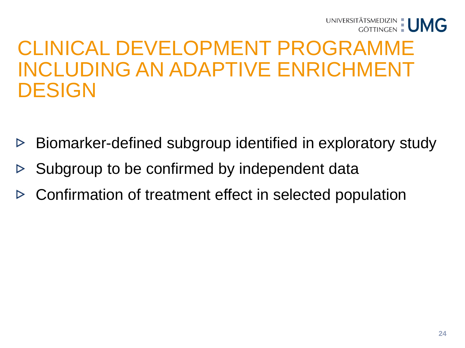

## CLINICAL DEVELOPMENT PROGRAMME INCLUDING AN ADAPTIVE ENRICHMENT DESIGN

- Biomarker-defined subgroup identified in exploratory study  $\triangleright$
- Subgroup to be confirmed by independent data  $\triangleright$
- Confirmation of treatment effect in selected population $\triangleright$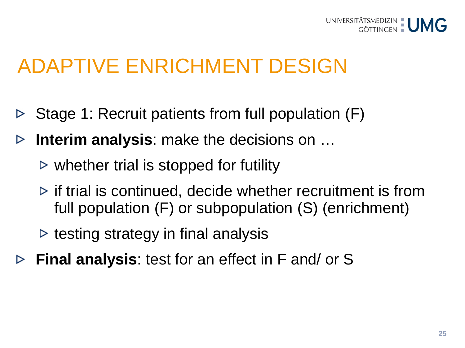

# ADAPTIVE ENRICHMENT DESIGN

- Stage 1: Recruit patients from full population (F)  $\triangleright$
- **Interim analysis**: make the decisions on …  $\triangleright$ 
	- $\triangleright$  whether trial is stopped for futility
	- $\triangleright$  if trial is continued, decide whether recruitment is from full population (F) or subpopulation (S) (enrichment)
	- $\triangleright$  testing strategy in final analysis
- **Final analysis**: test for an effect in F and/ or S $\triangleright$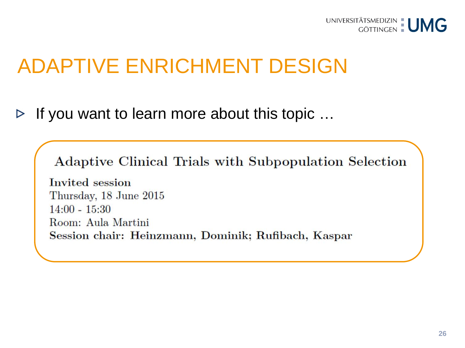

# ADAPTIVE ENRICHMENT DESIGN

If you want to learn more about this topic … $\triangleright$ 

Adaptive Clinical Trials with Subpopulation Selection

Invited session Thursday, 18 June 2015  $14:00 - 15:30$ Room: Aula Martini Session chair: Heinzmann, Dominik; Rufibach, Kaspar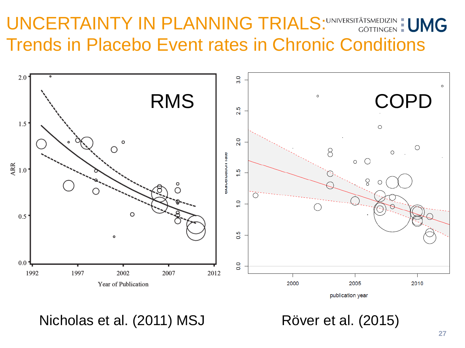#### UNCERTAINTY IN PLANNING TRIALS: UNIVERSITÄTSMEDIZIN : UMG Trends in Placebo Event rates in Chronic Conditions



publication year

Nicholas et al. (2011) MSJ Röver et al. (2015)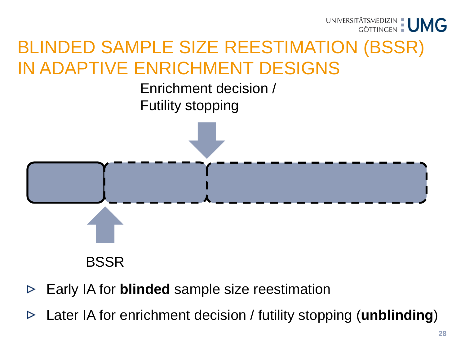

#### BLINDED SAMPLE SIZE REESTIMATION (BSSR) IN ADAPTIVE ENRICHMENT DESIGNS

Enrichment decision / Futility stopping



- BSSR
- Early IA for **blinded** sample size reestimation  $\triangleright$
- Later IA for enrichment decision / futility stopping (**unblinding**)  $\triangleright$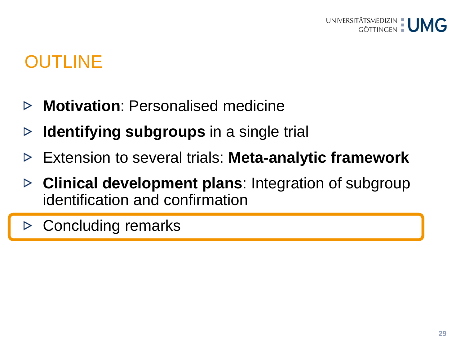## OUTLINE

- **Motivation**: Personalised medicine  $\triangleright$
- **Identifying subgroups** in a single trial ▷
- Extension to several trials: **Meta-analytic framework**  $\triangleright$
- **Clinical development plans**: Integration of subgroup  $\triangleright$ identification and confirmation
- $\triangleright$  Concluding remarks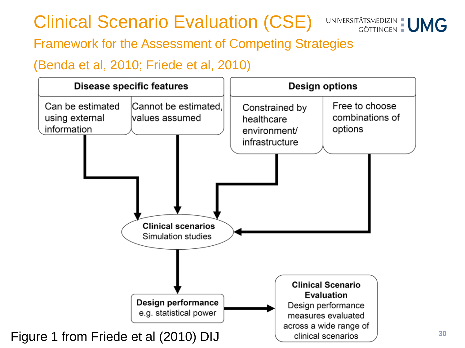## Clinical Scenario Evaluation (CSE) UNIVERSITÄTSMEDIZIN: UMG



**30**

#### Framework for the Assessment of Competing Strategies

#### (Benda et al, 2010; Friede et al, 2010)